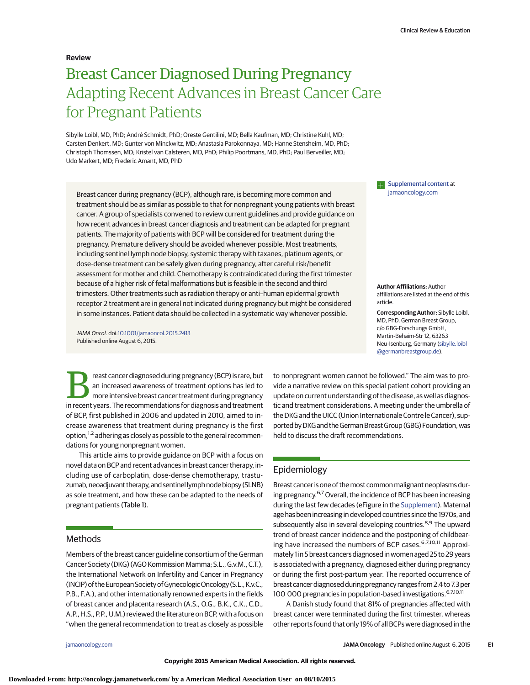**Review**

# Breast Cancer Diagnosed During Pregnancy Adapting Recent Advances in Breast Cancer Care for Pregnant Patients

Sibylle Loibl, MD, PhD; André Schmidt, PhD; Oreste Gentilini, MD; Bella Kaufman, MD; Christine Kuhl, MD; Carsten Denkert, MD; Gunter von Minckwitz, MD; Anastasia Parokonnaya, MD; Hanne Stensheim, MD, PhD; Christoph Thomssen, MD; Kristel van Calsteren, MD, PhD; Philip Poortmans, MD, PhD; Paul Berveiller, MD; Udo Markert, MD; Frederic Amant, MD, PhD

Breast cancer during pregnancy (BCP), although rare, is becoming more common and treatment should be as similar as possible to that for nonpregnant young patients with breast cancer. A group of specialists convened to review current guidelines and provide guidance on how recent advances in breast cancer diagnosis and treatment can be adapted for pregnant patients. The majority of patients with BCP will be considered for treatment during the pregnancy. Premature delivery should be avoided whenever possible. Most treatments, including sentinel lymph node biopsy, systemic therapy with taxanes, platinum agents, or dose-dense treatment can be safely given during pregnancy, after careful risk/benefit assessment for mother and child. Chemotherapy is contraindicated during the first trimester because of a higher risk of fetal malformations but is feasible in the second and third trimesters. Other treatments such as radiation therapy or anti–human epidermal growth receptor 2 treatment are in general not indicated during pregnancy but might be considered in some instances. Patient data should be collected in a systematic way whenever possible.

JAMA Oncol. doi[:10.1001/jamaoncol.2015.2413](http://jama.jamanetwork.com/article.aspx?doi=10.1001/jamaoncol.2015.2413&utm_campaign=articlePDF%26utm_medium=articlePDFlink%26utm_source=articlePDF%26utm_content=jamaoncol.2015.2413) Published online August 6, 2015.

Freast cancer diagnosed during pregnancy (BCP) is rare, but<br>an increased awareness of treatment options has led to<br>more intensive breast cancer treatment during pregnancy<br>in recent vears. The recommendations for diagnosis an increased awareness of treatment options has led to in recent years. The recommendations for diagnosis and treatment of BCP, first published in 2006 and updated in 2010, aimed to increase awareness that treatment during pregnancy is the first option, $1,2$  adhering as closely as possible to the general recommendations for young nonpregnant women.

This article aims to provide guidance on BCP with a focus on novel data on BCP and recent advances in breast cancer therapy, including use of carboplatin, dose-dense chemotherapy, trastuzumab, neoadjuvant therapy, and sentinel lymph node biopsy (SLNB) as sole treatment, and how these can be adapted to the needs of pregnant patients (Table 1).

## Methods

Members of the breast cancer guideline consortium of the German Cancer Society (DKG) (AGO Kommission Mamma; S.L., G.v.M., C.T.), the International Network on Infertility and Cancer in Pregnancy (INCIP) of the European Society of Gynecologic Oncology (S.L., K.v.C., P.B., F.A.), and other internationally renowned experts in the fields of breast cancer and placenta research (A.S., O.G., B.K., C.K., C.D., A.P., H.S., P.P., U.M.) reviewed the literature on BCP, with a focus on "when the general recommendation to treat as closely as possible

**Examplemental content at** [jamaoncology.com](http://www.jamaoncology.com/?utm_campaign=articlePDF%26utm_medium=articlePDFlink%26utm_source=articlePDF%26utm_content=jamaoncol.2015.2413)

**Author Affiliations:** Author affiliations are listed at the end of this article.

**Corresponding Author:** Sibylle Loibl, MD, PhD, German Breast Group, c/o GBG-Forschungs GmbH, Martin-Behaim-Str 12, 63263 Neu-Isenburg, Germany [\(sibylle.loibl](mailto:sibylle.loibl@germanbreastgroup.de) [@germanbreastgroup.de\)](mailto:sibylle.loibl@germanbreastgroup.de).

to nonpregnant women cannot be followed." The aim was to provide a narrative review on this special patient cohort providing an update on current understanding of the disease, as well as diagnostic and treatment considerations. A meeting under the umbrella of the DKG and the UICC (Union Internationale Contre le Cancer), supported by DKG and the German Breast Group (GBG) Foundation, was held to discuss the draft recommendations.

## Epidemiology

Breast cancer is one of the most common malignant neoplasms during pregnancy.<sup>6,7</sup> Overall, the incidence of BCP has been increasing during the last few decades (eFigure in the [Supplement\)](http://jama.jamanetwork.com/article.aspx?doi=10.1001/jamaoncol.2015.2413&utm_campaign=articlePDF%26utm_medium=articlePDFlink%26utm_source=articlePDF%26utm_content=jamaoncol.2015.2413). Maternal age has been increasing in developed countries since the 1970s, and subsequently also in several developing countries.<sup>8,9</sup> The upward trend of breast cancer incidence and the postponing of childbearing have increased the numbers of BCP cases.<sup>6,7,10,11</sup> Approximately 1 in 5 breast cancers diagnosed in women aged 25 to 29 years is associated with a pregnancy, diagnosed either during pregnancy or during the first post-partum year. The reported occurrence of breast cancer diagnosed during pregnancy ranges from 2.4 to 7.3 per 100 000 pregnancies in population-based investigations. 6,7,10,11

A Danish study found that 81% of pregnancies affected with breast cancer were terminated during the first trimester, whereas other reports found that only 19% of all BCPs were diagnosed in the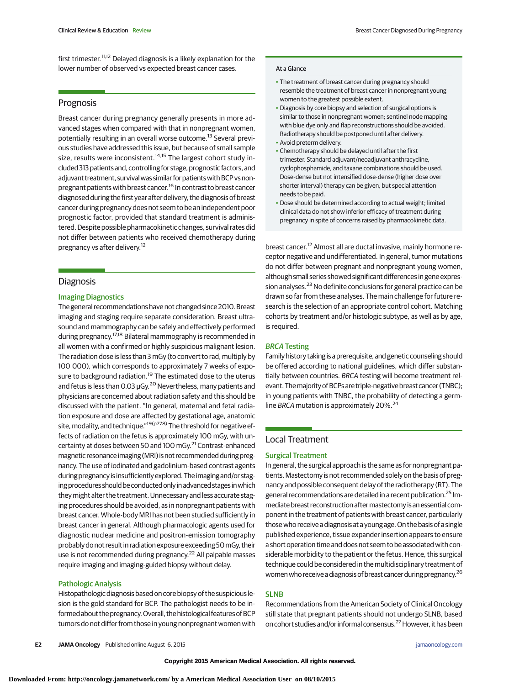first trimester.<sup>11,12</sup> Delayed diagnosis is a likely explanation for the lower number of observed vs expected breast cancer cases.

# Prognosis

Breast cancer during pregnancy generally presents in more advanced stages when compared with that in nonpregnant women, potentially resulting in an overall worse outcome.<sup>13</sup> Several previous studies have addressed this issue, but because of small sample size, results were inconsistent.<sup>14,15</sup> The largest cohort study included 313 patients and, controlling for stage, prognostic factors, and adjuvant treatment, survival was similar for patients with BCP vs nonpregnant patients with breast cancer.<sup>16</sup> In contrast to breast cancer diagnosed during the first year after delivery, the diagnosis of breast cancer during pregnancy does not seem to be an independent poor prognostic factor, provided that standard treatment is administered. Despite possible pharmacokinetic changes, survival rates did not differ between patients who received chemotherapy during pregnancy vs after delivery.<sup>12</sup>

# **Diagnosis**

## Imaging Diagnostics

The general recommendations have not changed since 2010. Breast imaging and staging require separate consideration. Breast ultrasound and mammography can be safely and effectively performed during pregnancy.17,18 Bilateral mammography is recommended in all women with a confirmed or highly suspicious malignant lesion. The radiation dose is less than 3 mGy (to convert to rad, multiply by 100 000), which corresponds to approximately 7 weeks of exposure to background radiation.<sup>19</sup> The estimated dose to the uterus and fetus is less than 0.03  $\mu$ Gy.<sup>20</sup> Nevertheless, many patients and physicians are concerned about radiation safety and this should be discussed with the patient. "In general, maternal and fetal radiation exposure and dose are affected by gestational age, anatomic site, modality, and technique."<sup>19(p778)</sup> The threshold for negative effects of radiation on the fetus is approximately 100 mGy, with uncertainty at doses between 50 and 100 mGy.<sup>21</sup> Contrast-enhanced magnetic resonance imaging (MRI) is not recommended during pregnancy. The use of iodinated and gadolinium-based contrast agents during pregnancy is insufficiently explored. The imaging and/or staging procedures should be conducted only in advanced stages in which they might alter the treatment. Unnecessary and less accurate staging procedures should be avoided, as in nonpregnant patients with breast cancer. Whole-body MRI has not been studied sufficiently in breast cancer in general. Although pharmacologic agents used for diagnostic nuclear medicine and positron-emission tomography probably do not result in radiation exposure exceeding 50mGy, their use is not recommended during pregnancy.<sup>22</sup> All palpable masses require imaging and imaging-guided biopsy without delay.

## Pathologic Analysis

Histopathologic diagnosis based on core biopsy of the suspicious lesion is the gold standard for BCP. The pathologist needs to be informed about the pregnancy.Overall, the histological features of BCP tumors do not differ from those in young nonpregnant women with

#### At a Glance

- The treatment of breast cancer during pregnancy should resemble the treatment of breast cancer in nonpregnant young women to the greatest possible extent.
- Diagnosis by core biopsy and selection of surgical options is similar to those in nonpregnant women; sentinel node mapping with blue dye only and flap reconstructions should be avoided. Radiotherapy should be postponed until after delivery. • Avoid preterm delivery.
- Chemotherapy should be delayed until after the first trimester. Standard adjuvant/neoadjuvant anthracycline, cyclophosphamide, and taxane combinations should be used. Dose-dense but not intensified dose-dense (higher dose over shorter interval) therapy can be given, but special attention needs to be paid.
- Dose should be determined according to actual weight; limited clinical data do not show inferior efficacy of treatment during pregnancy in spite of concerns raised by pharmacokinetic data.

breast cancer.12 Almost all are ductal invasive, mainly hormone receptor negative and undifferentiated. In general, tumor mutations do not differ between pregnant and nonpregnant young women, although small series showed significant differences in gene expression analyses.<sup>23</sup> No definite conclusions for general practice can be drawn so far from these analyses. The main challenge for future research is the selection of an appropriate control cohort. Matching cohorts by treatment and/or histologic subtype, as well as by age, is required.

## BRCA Testing

Family history taking is a prerequisite, and genetic counseling should be offered according to national guidelines, which differ substantially between countries. BRCA testing will become treatment relevant. Themajority of BCPs are triple-negative breast cancer (TNBC); in young patients with TNBC, the probability of detecting a germline BRCA mutation is approximately 20%.<sup>24</sup>

## Local Treatment

## Surgical Treatment

In general, the surgical approach is the same as for nonpregnant patients. Mastectomy is not recommended solely on the basis of pregnancy and possible consequent delay of the radiotherapy (RT). The general recommendations are detailed in a recent publication.25 Immediate breast reconstruction after mastectomy is an essential component in the treatment of patients with breast cancer, particularly those who receive a diagnosis at a young age.On the basis of a single published experience, tissue expander insertion appears to ensure a short operation time and does not seem to be associated with considerable morbidity to the patient or the fetus. Hence, this surgical technique could be considered in the multidisciplinary treatment of women who receive a diagnosis of breast cancer during pregnancy.<sup>26</sup>

### SLNB

Recommendations from the American Society of Clinical Oncology still state that pregnant patients should not undergo SLNB, based on cohort studies and/or informal consensus.<sup>27</sup> However, it has been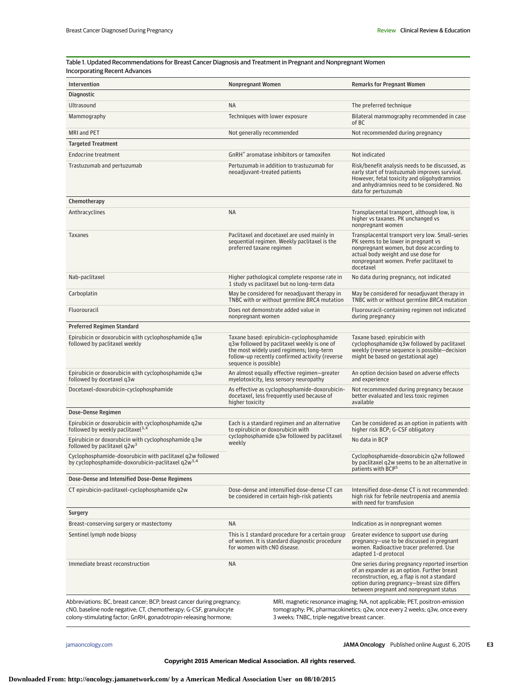Table 1. Updated Recommendations for Breast Cancer Diagnosis and Treatment in Pregnant and Nonpregnant Women Incorporating Recent Advances

| Intervention                                                                                                                                                                                                    | <b>Nonpregnant Women</b>          |                                                                                                                                                                                        | <b>Remarks for Pregnant Women</b>                                                                                                                                                                                                       |
|-----------------------------------------------------------------------------------------------------------------------------------------------------------------------------------------------------------------|-----------------------------------|----------------------------------------------------------------------------------------------------------------------------------------------------------------------------------------|-----------------------------------------------------------------------------------------------------------------------------------------------------------------------------------------------------------------------------------------|
| <b>Diagnostic</b>                                                                                                                                                                                               |                                   |                                                                                                                                                                                        |                                                                                                                                                                                                                                         |
| Ultrasound                                                                                                                                                                                                      | <b>NA</b>                         |                                                                                                                                                                                        | The preferred technique                                                                                                                                                                                                                 |
| Mammography                                                                                                                                                                                                     | Techniques with lower exposure    |                                                                                                                                                                                        | Bilateral mammography recommended in case<br>of BC                                                                                                                                                                                      |
| MRI and PET                                                                                                                                                                                                     | Not generally recommended         |                                                                                                                                                                                        | Not recommended during pregnancy                                                                                                                                                                                                        |
| <b>Targeted Treatment</b>                                                                                                                                                                                       |                                   |                                                                                                                                                                                        |                                                                                                                                                                                                                                         |
| Endocrine treatment                                                                                                                                                                                             |                                   | GnRH <sup>+</sup> aromatase inhibitors or tamoxifen                                                                                                                                    | Not indicated                                                                                                                                                                                                                           |
| Trastuzumab and pertuzumab                                                                                                                                                                                      | neoadjuvant-treated patients      | Pertuzumab in addition to trastuzumab for                                                                                                                                              | Risk/benefit analysis needs to be discussed, as<br>early start of trastuzumab improves survival.<br>However, fetal toxicity and oligohydramnios<br>and anhydramnios need to be considered. No<br>data for pertuzumab                    |
| Chemotherapy                                                                                                                                                                                                    |                                   |                                                                                                                                                                                        |                                                                                                                                                                                                                                         |
| Anthracyclines                                                                                                                                                                                                  | <b>NA</b>                         |                                                                                                                                                                                        | Transplacental transport, although low, is<br>higher vs taxanes. PK unchanged vs<br>nonpregnant women                                                                                                                                   |
| <b>Taxanes</b>                                                                                                                                                                                                  | preferred taxane regimen          | Paclitaxel and docetaxel are used mainly in<br>sequential regimen. Weekly paclitaxel is the                                                                                            | Transplacental transport very low. Small-series<br>PK seems to be lower in pregnant vs<br>nonpregnant women, but dose according to<br>actual body weight and use dose for<br>nonpregnant women. Prefer paclitaxel to<br>docetaxel       |
| Nab-paclitaxel                                                                                                                                                                                                  |                                   | Higher pathological complete response rate in<br>1 study vs paclitaxel but no long-term data                                                                                           | No data during pregnancy, not indicated                                                                                                                                                                                                 |
| Carboplatin                                                                                                                                                                                                     |                                   | May be considered for neoadjuvant therapy in<br>TNBC with or without germline BRCA mutation                                                                                            | May be considered for neoadjuvant therapy in<br>TNBC with or without germline BRCA mutation                                                                                                                                             |
| Fluorouracil                                                                                                                                                                                                    | nonpregnant women                 | Does not demonstrate added value in                                                                                                                                                    | Fluorouracil-containing regimen not indicated<br>during pregnancy                                                                                                                                                                       |
| Preferred Regimen Standard                                                                                                                                                                                      |                                   |                                                                                                                                                                                        |                                                                                                                                                                                                                                         |
| Epirubicin or doxorubicin with cyclophosphamide q3w<br>followed by paclitaxel weekly                                                                                                                            | sequence is possible)             | Taxane based: epirubicin-cyclophosphamide<br>q3w followed by paclitaxel weekly is one of<br>the most widely used regimens; long-term<br>follow-up recently confirmed activity (reverse | Taxane based: epirubicin with<br>cyclophosphamide q3w followed by paclitaxel<br>weekly (reverse sequence is possible-decision<br>might be based on gestational age)                                                                     |
| Epirubicin or doxorubicin with cyclophosphamide q3w<br>followed by docetaxel q3w                                                                                                                                |                                   | An almost equally effective regimen-greater<br>myelotoxicity, less sensory neuropathy                                                                                                  | An option decision based on adverse effects<br>and experience                                                                                                                                                                           |
| Docetaxel-doxorubicin-cyclophosphamide                                                                                                                                                                          | higher toxicity                   | As effective as cyclophosphamide-doxorubicin-<br>docetaxel, less frequently used because of                                                                                            | Not recommended during pregnancy because<br>better evaluated and less toxic regimen<br>available                                                                                                                                        |
| Dose-Dense Regimen                                                                                                                                                                                              |                                   |                                                                                                                                                                                        |                                                                                                                                                                                                                                         |
| Epirubicin or doxorubicin with cyclophosphamide q2w<br>followed by weekly paclitaxel <sup>3,4</sup>                                                                                                             | to epirubicin or doxorubicin with | Each is a standard regimen and an alternative<br>cyclophosphamide q3w followed by paclitaxel                                                                                           | Can be considered as an option in patients with<br>higher risk BCP; G-CSF obligatory                                                                                                                                                    |
| Epirubicin or doxorubicin with cyclophosphamide q3w<br>followed by paclitaxel $q2w^3$                                                                                                                           | weekly                            |                                                                                                                                                                                        | No data in BCP                                                                                                                                                                                                                          |
| Cyclophosphamide-doxorubicin with paclitaxel q2w followed<br>by cyclophosphamide-doxorubicin-paclitaxel q2w <sup>3,4</sup>                                                                                      |                                   |                                                                                                                                                                                        | Cyclophosphamide-doxorubicin q2w followed<br>by paclitaxel q2w seems to be an alternative in<br>patients with BCP <sup>5</sup>                                                                                                          |
| Dose-Dense and Intensified Dose-Dense Regimens                                                                                                                                                                  |                                   |                                                                                                                                                                                        |                                                                                                                                                                                                                                         |
| CT epirubicin-paclitaxel-cyclophosphamide q2w                                                                                                                                                                   |                                   | Dose-dense and intensified dose-dense CT can<br>be considered in certain high-risk patients                                                                                            | Intensified dose-dense CT is not recommended:<br>high risk for febrile neutropenia and anemia<br>with need for transfusion                                                                                                              |
| Surgery                                                                                                                                                                                                         |                                   |                                                                                                                                                                                        |                                                                                                                                                                                                                                         |
| Breast-conserving surgery or mastectomy                                                                                                                                                                         | <b>NA</b>                         |                                                                                                                                                                                        | Indication as in nonpregnant women                                                                                                                                                                                                      |
| Sentinel lymph node biopsy                                                                                                                                                                                      | for women with cNO disease.       | This is 1 standard procedure for a certain group<br>of women. It is standard diagnostic procedure                                                                                      | Greater evidence to support use during<br>pregnancy-use to be discussed in pregnant<br>women. Radioactive tracer preferred. Use<br>adapted 1-d protocol                                                                                 |
| Immediate breast reconstruction                                                                                                                                                                                 | <b>NA</b>                         |                                                                                                                                                                                        | One series during pregnancy reported insertion<br>of an expander as an option. Further breast<br>reconstruction, eg, a flap is not a standard<br>option during pregnancy-breast size differs<br>between pregnant and nonpregnant status |
| Abbreviations: BC, breast cancer; BCP, breast cancer during pregnancy;<br>cNO, baseline node negative; CT, chemotherapy; G-CSF, granulocyte<br>colony-stimulating factor; GnRH, gonadotropin-releasing hormone; |                                   | 3 weeks; TNBC, triple-negative breast cancer.                                                                                                                                          | MRI, magnetic resonance imaging; NA, not applicable; PET, positron-emission<br>tomography; PK, pharmacokinetics; q2w, once every 2 weeks; q3w, once every                                                                               |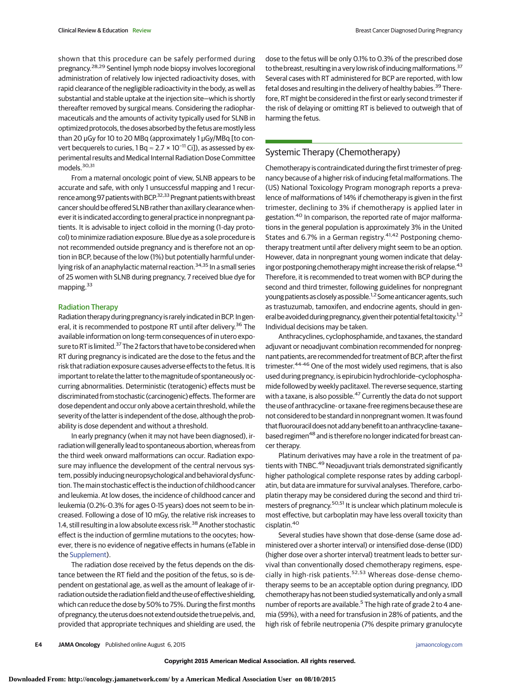shown that this procedure can be safely performed during pregnancy.28,29 Sentinel lymph node biopsy involves locoregional administration of relatively low injected radioactivity doses, with rapid clearance of the negligible radioactivity in the body, as well as substantial and stable uptake at the injection site—which is shortly thereafter removed by surgical means. Considering the radiopharmaceuticals and the amounts of activity typically used for SLNB in optimized protocols, the doses absorbed by the fetus aremostly less than 20 μGy for 10 to 20 MBq (approximately 1 μGy/MBq [to convert becquerels to curies, 1 Bq  $\approx 2.7 \times 10^{-11}$  Ci]), as assessed by experimental results and Medical Internal Radiation Dose Committee models.<sup>30,31</sup>

From a maternal oncologic point of view, SLNB appears to be accurate and safe, with only 1 unsuccessful mapping and 1 recurrence among 97 patients with BCP.<sup>32,33</sup> Pregnant patients with breast cancer should be offered SLNB rather than axillary clearance whenever it is indicated according to general practice in nonpregnant patients. It is advisable to inject colloid in the morning (1-day protocol) to minimize radiation exposure. Blue dye as a sole procedure is not recommended outside pregnancy and is therefore not an option in BCP, because of the low (1%) but potentially harmful underlying risk of an anaphylactic maternal reaction.<sup>34,35</sup> In a small series of 25 women with SLNB during pregnancy, 7 received blue dye for mapping.<sup>33</sup>

### Radiation Therapy

Radiation therapy during pregnancy is rarely indicated in BCP. In general, it is recommended to postpone RT until after delivery.<sup>36</sup> The available information on long-term consequences of in utero exposure to RT is limited.<sup>37</sup> The 2 factors that have to be considered when RT during pregnancy is indicated are the dose to the fetus and the risk that radiation exposure causes adverse effects to the fetus. It is important to relate the latter to the magnitude of spontaneously occurring abnormalities. Deterministic (teratogenic) effects must be discriminated from stochastic (carcinogenic) effects. The former are dose dependent and occur only above a certain threshold, while the severity of the latter is independent of the dose, although the probability is dose dependent and without a threshold.

In early pregnancy (when it may not have been diagnosed), irradiation will generally lead to spontaneous abortion, whereas from the third week onward malformations can occur. Radiation exposure may influence the development of the central nervous system, possibly inducing neuropsychological and behavioral dysfunction. The main stochastic effect is the induction of childhood cancer and leukemia. At low doses, the incidence of childhood cancer and leukemia (0.2%-0.3% for ages 0-15 years) does not seem to be increased. Following a dose of 10 mGy, the relative risk increases to 1.4, still resulting in a low absolute excess risk.<sup>38</sup> Another stochastic effect is the induction of germline mutations to the oocytes; however, there is no evidence of negative effects in humans (eTable in the [Supplement\)](http://jama.jamanetwork.com/article.aspx?doi=10.1001/jamaoncol.2015.2413&utm_campaign=articlePDF%26utm_medium=articlePDFlink%26utm_source=articlePDF%26utm_content=jamaoncol.2015.2413).

The radiation dose received by the fetus depends on the distance between the RT field and the position of the fetus, so is dependent on gestational age, as well as the amount of leakage of irradiation outside the radiation field and the use of effective shielding, which can reduce the dose by 50% to 75%. During the first months of pregnancy, the uterus does not extend outside the true pelvis, and, provided that appropriate techniques and shielding are used, the dose to the fetus will be only 0.1% to 0.3% of the prescribed dose to the breast, resulting in a very low risk of inducing malformations.<sup>37</sup> Several cases with RT administered for BCP are reported, with low fetal doses and resulting in the delivery of healthy babies.<sup>39</sup> Therefore, RT might be considered in the first or early second trimester if the risk of delaying or omitting RT is believed to outweigh that of harming the fetus.

# Systemic Therapy (Chemotherapy)

Chemotherapy is contraindicated during the first trimester of pregnancy because of a higher risk of inducing fetal malformations. The (US) National Toxicology Program monograph reports a prevalence of malformations of 14% if chemotherapy is given in the first trimester, declining to 3% if chemotherapy is applied later in gestation.<sup>40</sup> In comparison, the reported rate of major malformations in the general population is approximately 3% in the United States and 6.7% in a German registry.<sup>41,42</sup> Postponing chemotherapy treatment until after delivery might seem to be an option. However, data in nonpregnant young women indicate that delaying or postponing chemotherapy might increase the risk of relapse.<sup>43</sup> Therefore, it is recommended to treat women with BCP during the second and third trimester, following guidelines for nonpregnant young patients as closely as possible.<sup>1,2</sup> Some anticancer agents, such as trastuzumab, tamoxifen, and endocrine agents, should in general be avoided during pregnancy, given their potential fetal toxicity.<sup>1,2</sup> Individual decisions may be taken.

Anthracyclines, cyclophosphamide, and taxanes, the standard adjuvant or neoadjuvant combination recommended for nonpregnant patients, are recommended for treatment of BCP, after the first trimester.<sup>44-46</sup> One of the most widely used regimens, that is also used during pregnancy, is epirubicin hydrochloride–cyclophosphamide followed by weekly paclitaxel. The reverse sequence, starting with a taxane, is also possible.<sup>47</sup> Currently the data do not support the use of anthracycline- or taxane-free regimens because these are not considered to be standard in nonpregnant women. It was found that fluorouracil does not add any benefit to an anthracycline-taxanebased regimen<sup>48</sup> and is therefore no longer indicated for breast cancer therapy.

Platinum derivatives may have a role in the treatment of patients with TNBC.<sup>49</sup> Neoadjuvant trials demonstrated significantly higher pathological complete response rates by adding carboplatin, but data are immature for survival analyses. Therefore, carboplatin therapy may be considered during the second and third trimesters of pregnancy.50,51 It is unclear which platinum molecule is most effective, but carboplatin may have less overall toxicity than cisplatin.<sup>40</sup>

Several studies have shown that dose-dense (same dose administered over a shorter interval) or intensified dose-dense (IDD) (higher dose over a shorter interval) treatment leads to better survival than conventionally dosed chemotherapy regimens, especially in high-risk patients.<sup>52,53</sup> Whereas dose-dense chemotherapy seems to be an acceptable option during pregnancy, IDD chemotherapy has not been studied systematically and only a small number of reports are available.<sup>5</sup> The high rate of grade 2 to 4 anemia (59%), with a need for transfusion in 28% of patients, and the high risk of febrile neutropenia (7% despite primary granulocyte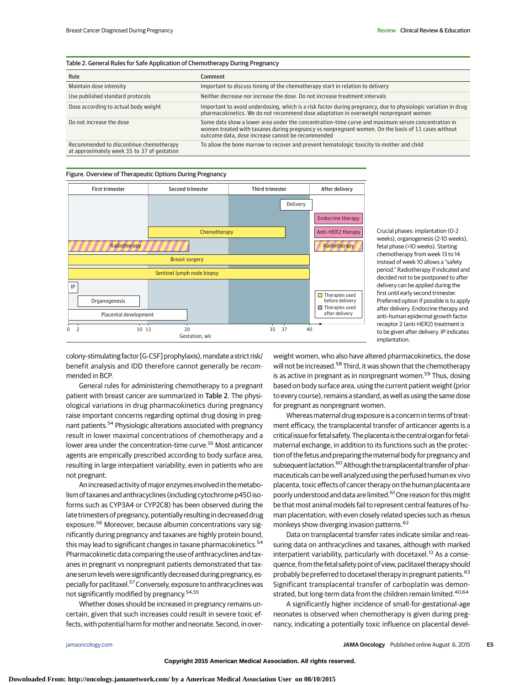#### Table 2. General Rules for Safe Application of Chemotherapy During Pregnancy

| Rule                                                                                   | Comment                                                                                                                                                                                                                                                      |
|----------------------------------------------------------------------------------------|--------------------------------------------------------------------------------------------------------------------------------------------------------------------------------------------------------------------------------------------------------------|
| Maintain dose intensity                                                                | Important to discuss timing of the chemotherapy start in relation to delivery                                                                                                                                                                                |
| Use published standard protocols                                                       | Neither decrease nor increase the dose. Do not increase treatment intervals                                                                                                                                                                                  |
| Dose according to actual body weight                                                   | Important to avoid underdosing, which is a risk factor during pregnancy, due to physiologic variation in drug<br>pharmacokinetics. We do not recommend dose adaptation in overweight nonpregnant women                                                       |
| Do not increase the dose                                                               | Some data show a lower area under the concentration-time curve and maximum serum concentration in<br>women treated with taxanes during pregnancy vs nonpregnant women. On the basis of 11 cases without<br>outcome data, dose increase cannot be recommended |
| Recommended to discontinue chemotherapy<br>at approximately week 35 to 37 of gestation | To allow the bone marrow to recover and prevent hematologic toxicity to mother and child                                                                                                                                                                     |

#### Figure. Overview of Therapeutic Options During Pregnancy



Crucial phases: implantation (0-2 weeks), organogenesis (2-10 weeks), fetal phase (>10 weeks). Starting chemotherapy from week 13 to 14 instead of week 10 allows a "safety period." Radiotherapy if indicated and decided not to be postponed to after delivery can be applied during the first until early second trimester. Preferred option if possible is to apply after delivery. Endocrine therapy and anti–human epidermal growth factor receptor 2 (anti-HER2) treatment is to be given after delivery. IP indicates implantation.

colony-stimulating factor [G-CSF] prophylaxis), mandate a strict risk/ benefit analysis and IDD therefore cannot generally be recommended in BCP.

General rules for administering chemotherapy to a pregnant patient with breast cancer are summarized in Table 2. The physiological variations in drug pharmacokinetics during pregnancy raise important concerns regarding optimal drug dosing in pregnant patients.54 Physiologic alterations associated with pregnancy result in lower maximal concentrations of chemotherapy and a lower area under the concentration-time curve.<sup>55</sup> Most anticancer agents are empirically prescribed according to body surface area, resulting in large interpatient variability, even in patients who are not pregnant.

An increased activity of major enzymes involved in the metabolism of taxanes and anthracyclines (including cytochrome p450 isoforms such as CYP3A4 or CYP2C8) has been observed during the late trimesters of pregnancy, potentially resulting in decreased drug exposure.<sup>56</sup> Moreover, because albumin concentrations vary significantly during pregnancy and taxanes are highly protein bound, this may lead to significant changes in taxane pharmacokinetics.<sup>54</sup> Pharmacokinetic data comparing the use of anthracyclines and taxanes in pregnant vs nonpregnant patients demonstrated that taxane serum levels were significantly decreased during pregnancy, especially for paclitaxel.<sup>57</sup> Conversely, exposure to anthracyclines was not significantly modified by pregnancy.54,55

Whether doses should be increased in pregnancy remains uncertain, given that such increases could result in severe toxic effects, with potential harm for mother and neonate. Second, in overweight women, who also have altered pharmacokinetics, the dose will not be increased.<sup>58</sup> Third, it was shown that the chemotherapy is as active in pregnant as in nonpregnant women.<sup>59</sup> Thus, dosing based on body surface area, using the current patient weight (prior to every course), remains a standard, as well as using the same dose for pregnant as nonpregnant women.

Whereas maternal drug exposure is a concern in terms of treatment efficacy, the transplacental transfer of anticancer agents is a critical issue for fetal safety. The placenta is the central organ for fetalmaternal exchange, in addition to its functions such as the protection of the fetus and preparing the maternal body for pregnancy and subsequent lactation.<sup>60</sup> Although the transplacental transfer of pharmaceuticals can be well analyzed using the perfused human ex vivo placenta, toxic effects of cancer therapy on the human placenta are poorly understood and data are limited.<sup>61</sup> One reason for this might be that most animal models fail to represent central features of human placentation, with even closely related species such as rhesus monkeys show diverging invasion patterns.<sup>62</sup>

Data on transplacental transfer rates indicate similar and reassuring data on anthracyclines and taxanes, although with marked interpatient variability, particularly with docetaxel.<sup>13</sup> As a consequence, from the fetal safety point of view, paclitaxel therapy should probably be preferred to docetaxel therapy in pregnant patients.<sup>63</sup> Significant transplacental transfer of carboplatin was demonstrated, but long-term data from the children remain limited.<sup>40,64</sup>

A significantly higher incidence of small-for-gestational-age neonates is observed when chemotherapy is given during pregnancy, indicating a potentially toxic influence on placental devel-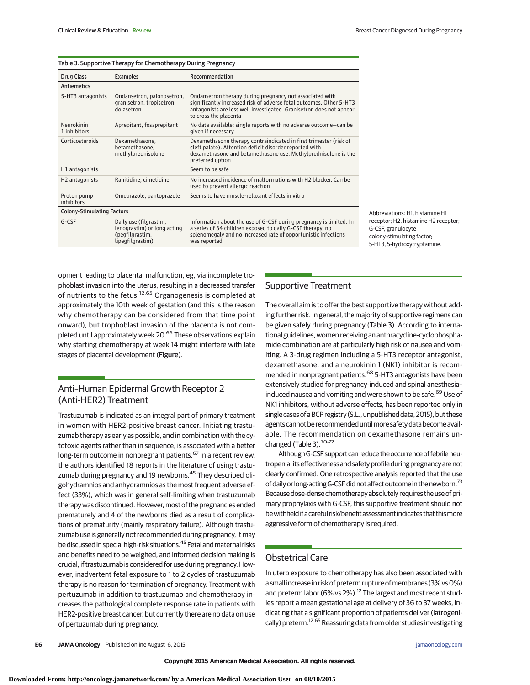#### Table 3. Supportive Therapy for Chemotherapy During Pregnancy

| Drug Class                        | <b>Examples</b>                                                                              | Recommendation                                                                                                                                                                                                                  |  |  |
|-----------------------------------|----------------------------------------------------------------------------------------------|---------------------------------------------------------------------------------------------------------------------------------------------------------------------------------------------------------------------------------|--|--|
| <b>Antiemetics</b>                |                                                                                              |                                                                                                                                                                                                                                 |  |  |
| 5-HT3 antagonists                 | Ondansetron, palonosetron,<br>granisetron, tropisetron,<br>dolasetron                        | Ondansetron therapy during pregnancy not associated with<br>significantly increased risk of adverse fetal outcomes. Other 5-HT3<br>antagonists are less well investigated. Granisetron does not appear<br>to cross the placenta |  |  |
| Neurokinin<br>1 inhibitors        | Aprepitant, fosaprepitant                                                                    | No data available; single reports with no adverse outcome-can be<br>given if necessary                                                                                                                                          |  |  |
| Corticosteroids                   | Dexamethasone,<br>betamethasone,<br>methylprednisolone                                       | Dexamethasone therapy contraindicated in first trimester (risk of<br>cleft palate). Attention deficit disorder reported with<br>dexamethasone and betamethasone use. Methylprednisolone is the<br>preferred option              |  |  |
| H <sub>1</sub> antagonists        |                                                                                              | Seem to be safe                                                                                                                                                                                                                 |  |  |
| H <sub>2</sub> antagonists        | Ranitidine, cimetidine                                                                       | No increased incidence of malformations with H2 blocker. Can be<br>used to prevent allergic reaction                                                                                                                            |  |  |
| Proton pump<br>inhibitors         | Omeprazole, pantoprazole                                                                     | Seems to have muscle-relaxant effects in vitro                                                                                                                                                                                  |  |  |
| <b>Colony-Stimulating Factors</b> |                                                                                              |                                                                                                                                                                                                                                 |  |  |
| $G-CSF$                           | Daily use (filgrastim,<br>lenograstim) or long acting<br>(pegfilgrastim,<br>lipegfilgrastim) | Information about the use of G-CSF during pregnancy is limited. In<br>a series of 34 children exposed to daily G-CSF therapy, no<br>splenomegaly and no increased rate of opportunistic infections<br>was reported              |  |  |

Abbreviations: H1, histamine H1 receptor; H2, histamine H2 receptor; G-CSF, granulocyte colony-stimulating factor; 5-HT3, 5-hydroxytryptamine.

opment leading to placental malfunction, eg, via incomplete trophoblast invasion into the uterus, resulting in a decreased transfer of nutrients to the fetus.<sup>12,65</sup> Organogenesis is completed at approximately the 10th week of gestation (and this is the reason why chemotherapy can be considered from that time point onward), but trophoblast invasion of the placenta is not completed until approximately week 20.<sup>66</sup> These observations explain why starting chemotherapy at week 14 might interfere with late stages of placental development (Figure).

# Anti–Human Epidermal Growth Receptor 2 (Anti-HER2) Treatment

Trastuzumab is indicated as an integral part of primary treatment in women with HER2-positive breast cancer. Initiating trastuzumab therapy as early as possible, and in combination with the cytotoxic agents rather than in sequence, is associated with a better long-term outcome in nonpregnant patients.<sup>67</sup> In a recent review, the authors identified 18 reports in the literature of using trastuzumab during pregnancy and 19 newborns.<sup>45</sup> They described oligohydramnios and anhydramnios as the most frequent adverse effect (33%), which was in general self-limiting when trastuzumab therapy was discontinued. However, most of the pregnancies ended prematurely and 4 of the newborns died as a result of complications of prematurity (mainly respiratory failure). Although trastuzumab use is generally not recommended during pregnancy, it may be discussed in special high-risk situations.<sup>45</sup> Fetal and maternal risks and benefits need to be weighed, and informed decision making is crucial, if trastuzumab is considered for use during pregnancy. However, inadvertent fetal exposure to 1 to 2 cycles of trastuzumab therapy is no reason for termination of pregnancy. Treatment with pertuzumab in addition to trastuzumab and chemotherapy increases the pathological complete response rate in patients with HER2-positive breast cancer, but currently there are no data on use of pertuzumab during pregnancy.

# Supportive Treatment

The overall aim is to offer the best supportive therapy without adding further risk. In general, the majority of supportive regimens can be given safely during pregnancy (Table 3). According to international guidelines, women receiving an anthracycline-cyclophosphamide combination are at particularly high risk of nausea and vomiting. A 3-drug regimen including a 5-HT3 receptor antagonist, dexamethasone, and a neurokinin 1 (NK1) inhibitor is recommended in nonpregnant patients.<sup>68</sup> 5-HT3 antagonists have been extensively studied for pregnancy-induced and spinal anesthesia– induced nausea and vomiting and were shown to be safe.<sup>69</sup> Use of NK1 inhibitors, without adverse effects, has been reported only in single cases of a BCP registry (S.L., unpublished data, 2015), but these agents cannot be recommended until more safety data become available. The recommendation on dexamethasone remains unchanged (Table 3).70-72

Although G-CSF support can reduce the occurrence of febrile neutropenia, itseffectivenessand safety profile during pregnancyare not clearly confirmed. One retrospective analysis reported that the use of daily or long-acting G-CSF did not affect outcome in the newborn.<sup>73</sup> Because dose-dense chemotherapy absolutely requires the use of primary prophylaxis with G-CSF, this supportive treatment should not bewithheldifacareful risk/benefitassessmentindicates that thismore aggressive form of chemotherapy is required.

# Obstetrical Care

In utero exposure to chemotherapy has also been associated with a small increase in risk of preterm rupture of membranes (3% vs 0%) and preterm labor (6% vs 2%).<sup>12</sup> The largest and most recent studies report a mean gestational age at delivery of 36 to 37 weeks, indicating that a significant proportion of patients deliver (iatrogenically) preterm.<sup>12,65</sup> Reassuring data from older studies investigating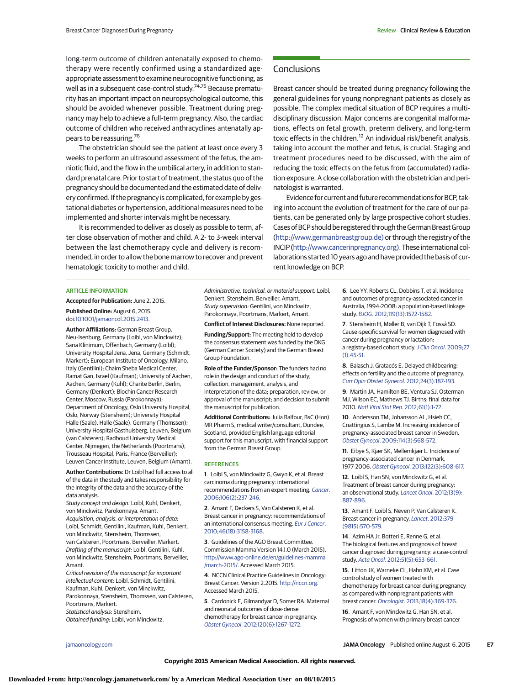Breast cancer should be treated during pregnancy following the general guidelines for young nonpregnant patients as closely as possible. The complex medical situation of BCP requires a multidisciplinary discussion. Major concerns are congenital malformations, effects on fetal growth, preterm delivery, and long-term toxic effects in the children.<sup>12</sup> An individual risk/benefit analysis, taking into account the mother and fetus, is crucial. Staging and treatment procedures need to be discussed, with the aim of reducing the toxic effects on the fetus from (accumulated) radiation exposure. A close collaboration with the obstetrician and peri-

Evidence for current and future recommendations for BCP, taking into account the evolution of treatment for the care of our patients, can be generated only by large prospective cohort studies. Cases of BCP should be registered through the German Breast Group [\(http://www.germanbreastgroup.de\)](http://www.germanbreastgroup.de) or through the registry of the INCIP [\(http://www.cancerinpregnancy.org\).](http://www.cancerinpregnancy.org)These international collaborations started 10 years ago and have provided the basis of cur-

long-term outcome of children antenatally exposed to chemotherapy were recently confirmed using a standardized ageappropriate assessment to examine neurocognitive functioning, as well as in a subsequent case-control study.<sup>74,75</sup> Because prematurity has an important impact on neuropsychological outcome, this should be avoided whenever possible. Treatment during pregnancy may help to achieve a full-term pregnancy. Also, the cardiac outcome of children who received anthracyclines antenatally appears to be reassuring.<sup>76</sup>

The obstetrician should see the patient at least once every 3 weeks to perform an ultrasound assessment of the fetus, the amniotic fluid, and the flow in the umbilical artery, in addition to standard prenatal care. Prior to start of treatment, the status quo of the pregnancy should be documented and the estimated date of delivery confirmed. If the pregnancy is complicated, for example by gestational diabetes or hypertension, additional measures need to be implemented and shorter intervals might be necessary.

It is recommended to deliver as closely as possible to term, after close observation of mother and child. A 2- to 3-week interval between the last chemotherapy cycle and delivery is recommended, in order to allow the bone marrow to recover and prevent hematologic toxicity to mother and child.

#### ARTICLE INFORMATION

**Accepted for Publication:** June 2, 2015. **Published Online:** August 6, 2015. doi[:10.1001/jamaoncol.2015.2413.](http://jama.jamanetwork.com/article.aspx?doi=10.1001/jamaoncol.2015.2413&utm_campaign=articlePDF%26utm_medium=articlePDFlink%26utm_source=articlePDF%26utm_content=jamaoncol.2015.2413)

**Author Affiliations:** German Breast Group, Neu-Isenburg, Germany (Loibl, von Minckwitz); Sana Klinimum, Offenbach, Germany (Loibl); University Hospital Jena, Jena, Germany (Schmidt, Markert); European Institute of Oncology, Milano, Italy (Gentilini); Chaim Sheba Medical Center, Ramat Gan, Israel (Kaufman); University of Aachen, Aachen, Germany (Kuhl); Charite Berlin, Berlin, Germany (Denkert); Blochin Cancer Research Center, Moscow, Russia (Parokonnaya); Department of Oncology, Oslo University Hospital, Oslo, Norway (Stensheim); University Hospital Halle (Saale), Halle (Saale), Germany (Thomssen); University Hospital Gasthuisberg, Leuven, Belgium (van Calsteren); Radboud University Medical Center, Nijmegen, the Netherlands (Poortmans); Trousseau Hospital, Paris, France (Berveiller); Leuven Cancer Institute, Leuven, Belgium (Amant).

**Author Contributions:** Dr Loibl had full access to all of the data in the study and takes responsibility for the integrity of the data and the accuracy of the data analysis.

Study concept and design: Loibl, Kuhl, Denkert, von Minckwitz, Parokonnaya, Amant. Acquisition, analysis, or interpretation of data: Loibl, Schmidt, Gentilini, Kaufman, Kuhl, Denkert, von Minckwitz, Stensheim, Thomssen, van Calsteren, Poortmans, Berveiller, Markert. Drafting of the manuscript: Loibl, Gentilini, Kuhl, von Minckwitz, Stensheim, Poortmans, Berveiller, Amant.

Critical revision of the manuscript for important intellectual content: Loibl, Schmidt, Gentilini, Kaufman, Kuhl, Denkert, von Minckwitz, Parokonnaya, Stensheim, Thomssen, van Calsteren, Poortmans, Markert. Statistical analysis: Stensheim.

Obtained funding: Loibl, von Minckwitz.

Administrative, technical, or material support: Loibl, Denkert, Stensheim, Berveiller, Amant. Study supervision: Gentilini, von Minckwitz, Parokonnaya, Poortmans, Markert, Amant.

**Conclusions** 

natologist is warranted.

rent knowledge on BCP.

**Conflict of Interest Disclosures:** None reported.

**Funding/Support:** The meeting held to develop the consensus statement was funded by the DKG (German Cancer Society) and the German Breast Group Foundation.

**Role of the Funder/Sponsor:** The funders had no role in the design and conduct of the study; collection, management, analysis, and interpretation of the data; preparation, review, or approval of the manuscript; and decision to submit the manuscript for publication.

**Additional Contributions:** Julia Balfour, BsC (Hon) MR Pharm S, medical writer/consultant, Dundee, Scotland, provided English language editorial support for this manuscript, with financial support from the German Breast Group.

#### **REFERENCES**

**1**. Loibl S, von Minckwitz G, Gwyn K, et al. Breast carcinoma during pregnancy: international recommendations from an expert meeting. [Cancer](http://www.ncbi.nlm.nih.gov/pubmed/16342247). [2006;106\(2\):237-246.](http://www.ncbi.nlm.nih.gov/pubmed/16342247)

**2**. Amant F, Deckers S, Van Calsteren K, et al. Breast cancer in pregnancy: recommendations of an international consensus meeting. [Eur J Cancer](http://www.ncbi.nlm.nih.gov/pubmed/20932740). [2010;46\(18\):3158-3168.](http://www.ncbi.nlm.nih.gov/pubmed/20932740)

**3**. Guidelines of the AGO Breast Committee. Commission Mamma Version 14.1.0 (March 2015). [http://www.ago-online.de/en/guidelines-mamma](http://www.ago-online.de/en/guidelines-mamma/march-2015/) [/march-2015/.](http://www.ago-online.de/en/guidelines-mamma/march-2015/) Accessed March 2015.

**4**. NCCN Clinical Practice Guidelines in Oncology: Breast Cancer. Version 2.2015. [http://nccn.org.](http://nccn.org) Accessed March 2015.

**5**. Cardonick E, Gilmandyar D, Somer RA. Maternal and neonatal outcomes of dose-dense chemotherapy for breast cancer in pregnancy. Obstet Gynecol[. 2012;120\(6\):1267-1272.](http://www.ncbi.nlm.nih.gov/pubmed/23168749)

**6**. Lee YY, Roberts CL, Dobbins T, et al. Incidence and outcomes of pregnancy-associated cancer in Australia, 1994-2008: a population-based linkage study. BJOG[. 2012;119\(13\):1572-1582.](http://www.ncbi.nlm.nih.gov/pubmed/22947229)

**7**. Stensheim H, Møller B, van Dijk T, Fosså SD. Cause-specific survival for women diagnosed with cancer during pregnancy or lactation: a registry-based cohort study. [J Clin Oncol](http://www.ncbi.nlm.nih.gov/pubmed/19029418). 2009;27 [\(1\):45-51.](http://www.ncbi.nlm.nih.gov/pubmed/19029418)

**8**. Balasch J, Gratacós E. Delayed childbearing: effects on fertility and the outcome of pregnancy. [Curr Opin Obstet Gynecol](http://www.ncbi.nlm.nih.gov/pubmed/22450043). 2012;24(3):187-193.

**9**. Martin JA, Hamilton BE, Ventura SJ, Osterman MJ, Wilson EC, Mathews TJ. Births: final data for 2010. [Natl Vital Stat Rep](http://www.ncbi.nlm.nih.gov/pubmed/24974589). 2012;61(1):1-72.

**10**. Andersson TM, Johansson AL, Hsieh CC, Cnattingius S, Lambe M. Increasing incidence of pregnancy-associated breast cancer in Sweden. Obstet Gynecol[. 2009;114\(3\):568-572.](http://www.ncbi.nlm.nih.gov/pubmed/19701036)

**11**. Eibye S, Kjær SK, Mellemkjær L. Incidence of pregnancy-associated cancer in Denmark, 1977-2006. Obstet Gynecol[. 2013;122\(3\):608-617.](http://www.ncbi.nlm.nih.gov/pubmed/23921869)

**12**. Loibl S, Han SN, von Minckwitz G, et al. Treatment of breast cancer during pregnancy: an observational study. [Lancet Oncol](http://www.ncbi.nlm.nih.gov/pubmed/22902483). 2012;13(9): [887-896.](http://www.ncbi.nlm.nih.gov/pubmed/22902483)

**13**. Amant F, Loibl S, Neven P, Van Calsteren K. Breast cancer in pregnancy. Lancet[. 2012;379](http://www.ncbi.nlm.nih.gov/pubmed/22325662) [\(9815\):570-579.](http://www.ncbi.nlm.nih.gov/pubmed/22325662)

**14**. Azim HA Jr, Botteri E, Renne G, et al. The biological features and prognosis of breast cancer diagnosed during pregnancy: a case-control study. Acta Oncol[. 2012;51\(5\):653-661.](http://www.ncbi.nlm.nih.gov/pubmed/22171586)

**15**. Litton JK, Warneke CL, Hahn KM, et al. Case control study of women treated with chemotherapy for breast cancer during pregnancy as compared with nonpregnant patients with breast cancer. Oncologist[. 2013;18\(4\):369-376.](http://www.ncbi.nlm.nih.gov/pubmed/23576478)

**16**. Amant F, von Minckwitz G, Han SN, et al. Prognosis of women with primary breast cancer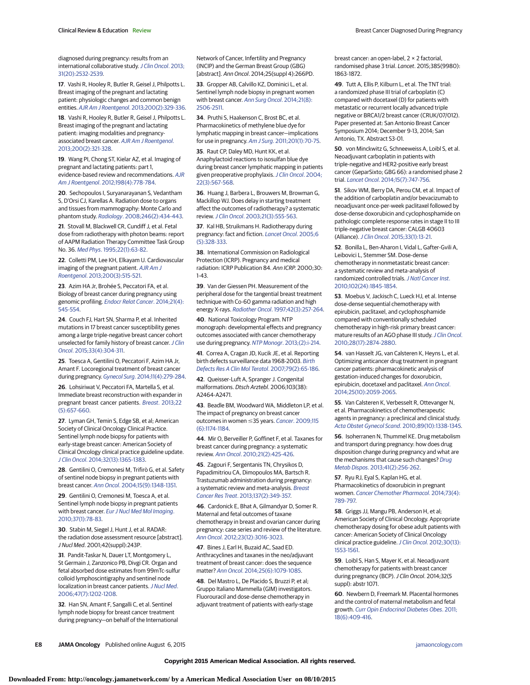diagnosed during pregnancy: results from an international collaborative study. [J Clin Oncol](http://www.ncbi.nlm.nih.gov/pubmed/23610117). 2013; [31\(20\):2532-2539.](http://www.ncbi.nlm.nih.gov/pubmed/23610117)

**17**. Vashi R, Hooley R, Butler R, Geisel J, Philpotts L. Breast imaging of the pregnant and lactating patient: physiologic changes and common benign entities. AJR Am J Roentgenol[. 2013;200\(2\):329-336.](http://www.ncbi.nlm.nih.gov/pubmed/23345354)

**18**. Vashi R, Hooley R, Butler R, Geisel J, Philpotts L. Breast imaging of the pregnant and lactating patient: imaging modalities and pregnancyassociated breast cancer. [AJR Am J Roentgenol](http://www.ncbi.nlm.nih.gov/pubmed/23345353). [2013;200\(2\):321-328.](http://www.ncbi.nlm.nih.gov/pubmed/23345353)

**19**. Wang PI, Chong ST, Kielar AZ, et al. Imaging of pregnant and lactating patients: part 1, evidence-based review and recommendations. [AJR](http://www.ncbi.nlm.nih.gov/pubmed/22451541) Am J Roentgenol[. 2012;198\(4\):778-784.](http://www.ncbi.nlm.nih.gov/pubmed/22451541)

**20**. Sechopoulos I, Suryanarayanan S, Vedantham S, D'Orsi CJ, Karellas A. Radiation dose to organs and tissues from mammography: Monte Carlo and phantom study. Radiology[. 2008;246\(2\):434-443.](http://www.ncbi.nlm.nih.gov/pubmed/18056857)

**21**. Stovall M, Blackwell CR, Cundiff J, et al. Fetal dose from radiotherapy with photon beams: report of AAPM Radiation Therapy Committee Task Group No. 36. Med Phys[. 1995;22\(1\):63-82.](http://www.ncbi.nlm.nih.gov/pubmed/7715571)

**22**. Colletti PM, Lee KH, Elkayam U. Cardiovascular imaging of the pregnant patient. [AJR Am J](http://www.ncbi.nlm.nih.gov/pubmed/23436839) Roentgenol[. 2013;200\(3\):515-521.](http://www.ncbi.nlm.nih.gov/pubmed/23436839)

**23**. Azim HA Jr, Brohée S, Peccatori FA, et al. Biology of breast cancer during pregnancy using genomic profiling. [Endocr Relat Cancer](http://www.ncbi.nlm.nih.gov/pubmed/24825746). 2014;21(4): [545-554.](http://www.ncbi.nlm.nih.gov/pubmed/24825746)

**24**. Couch FJ, Hart SN, Sharma P, et al. Inherited mutations in 17 breast cancer susceptibility genes among a large triple-negative breast cancer cohort unselected for family history of breast cancer. [J Clin](http://www.ncbi.nlm.nih.gov/pubmed/25452441) Oncol[. 2015;33\(4\):304-311.](http://www.ncbi.nlm.nih.gov/pubmed/25452441)

**25**. Toesca A, Gentilini O, Peccatori F, Azim HA Jr, Amant F. Locoregional treatment of breast cancer during pregnancy. Gynecol Surg[. 2014;11\(4\):279-284.](http://www.ncbi.nlm.nih.gov/pubmed/25419205)

**26**. Lohsiriwat V, Peccatori FA, Martella S, et al. Immediate breast reconstruction with expander in pregnant breast cancer patients. Breast[. 2013;22](http://www.ncbi.nlm.nih.gov/pubmed/23871328) [\(5\):657-660.](http://www.ncbi.nlm.nih.gov/pubmed/23871328)

**27**. Lyman GH, Temin S, Edge SB, et al; American Society of Clinical Oncology Clinical Practice. Sentinel lymph node biopsy for patients with early-stage breast cancer: American Society of Clinical Oncology clinical practice guideline update. J Clin Oncol[. 2014;32\(13\):1365-1383.](http://www.ncbi.nlm.nih.gov/pubmed/24663048)

**28**. Gentilini O, Cremonesi M, Trifirò G, et al. Safety of sentinel node biopsy in pregnant patients with breast cancer. Ann Oncol[. 2004;15\(9\):1348-1351.](http://www.ncbi.nlm.nih.gov/pubmed/15319240)

**29**. Gentilini O, Cremonesi M, Toesca A, et al. Sentinel lymph node biopsy in pregnant patients with breast cancer. [Eur J Nucl Med Mol Imaging](http://www.ncbi.nlm.nih.gov/pubmed/19662412). [2010;37\(1\):78-83.](http://www.ncbi.nlm.nih.gov/pubmed/19662412)

**30**. Stabin M, Siegel J, Hunt J, et al. RADAR: the radiation dose assessment resource [abstract]. J Nucl Med. 2001;42(suppl):243P.

**31**. Pandit-Taskar N, Dauer LT, Montgomery L, St Germain J, Zanzonico PB, Divgi CR. Organ and fetal absorbed dose estimates from 99mTc-sulfur colloid lymphoscintigraphy and sentinel node localization in breast cancer patients. [J Nucl Med](http://www.ncbi.nlm.nih.gov/pubmed/16818956). [2006;47\(7\):1202-1208.](http://www.ncbi.nlm.nih.gov/pubmed/16818956)

**32**. Han SN, Amant F, Sangalli C, et al. Sentinel lymph node biopsy for breast cancer treatment during pregnancy—on behalf of the International Network of Cancer, Infertility and Pregnancy (INCIP) and the German Breast Group (GBG) [abstract]. Ann Oncol. 2014;25(suppl 4):266PD.

**33**. Gropper AB, Calvillo KZ, Dominici L, et al. Sentinel lymph node biopsy in pregnant women with breast cancer. [Ann Surg Oncol](http://www.ncbi.nlm.nih.gov/pubmed/24756813). 2014;21(8): [2506-2511.](http://www.ncbi.nlm.nih.gov/pubmed/24756813)

**34**. Pruthi S, Haakenson C, Brost BC, et al. Pharmacokinetics of methylene blue dye for lymphatic mapping in breast cancer—implications for use in pregnancy. Am J Surg[. 2011;201\(1\):70-75.](http://www.ncbi.nlm.nih.gov/pubmed/21167367)

**35**. Raut CP, Daley MD, Hunt KK, et al. Anaphylactoid reactions to isosulfan blue dye during breast cancer lymphatic mapping in patients given preoperative prophylaxis. [J Clin Oncol](http://www.ncbi.nlm.nih.gov/pubmed/14752082). 2004; [22\(3\):567-568.](http://www.ncbi.nlm.nih.gov/pubmed/14752082)

**36**. Huang J, Barbera L, Brouwers M, Browman G, Mackillop WJ. Does delay in starting treatment affect the outcomes of radiotherapy? a systematic review.J Clin Oncol[. 2003;21\(3\):555-563.](http://www.ncbi.nlm.nih.gov/pubmed/12560449)

**37**. Kal HB, Struikmans H. Radiotherapy during pregnancy: fact and fiction. [Lancet Oncol](http://www.ncbi.nlm.nih.gov/pubmed/15863381). 2005;6 [\(5\):328-333.](http://www.ncbi.nlm.nih.gov/pubmed/15863381)

**38**. International Commission on Radiological Protection (ICRP). Pregnancy and medical radiation: ICRP Publication 84. Ann ICRP. 2000;30: 1-43.

**39**. Van der Giessen PH. Measurement of the peripheral dose for the tangential breast treatment technique with Co-60 gamma radiation and high energy X-rays. Radiother Oncol[. 1997;42\(3\):257-264.](http://www.ncbi.nlm.nih.gov/pubmed/9155075)

**40**. National Toxicology Program. NTP monograph: developmental effects and pregnancy outcomes associated with cancer chemotherapy use during pregnancy. NTP Monogr[. 2013;\(2\):i-214.](http://www.ncbi.nlm.nih.gov/pubmed/24736875)

**41**. Correa A, Cragan JD, Kucik JE, et al. Reporting birth defects surveillance data 1968-2003. [Birth](http://www.ncbi.nlm.nih.gov/pubmed/17278144) [Defects Res A Clin Mol Teratol](http://www.ncbi.nlm.nih.gov/pubmed/17278144). 2007;79(2):65-186.

**42**. Queisser-Luft A, Spranger J. Congenital malformations. Dtsch Arztebl. 2006;103(38): A2464-A2471.

**43**. Beadle BM, Woodward WA, Middleton LP, et al. The impact of pregnancy on breast cancer outcomes in women ≤35 years. Cancer[. 2009;115](http://www.ncbi.nlm.nih.gov/pubmed/19204903) [\(6\):1174-1184.](http://www.ncbi.nlm.nih.gov/pubmed/19204903)

**44**. Mir O, Berveiller P, Goffinet F, et al. Taxanes for breast cancer during pregnancy: a systematic review. Ann Oncol[. 2010;21\(2\):425-426.](http://www.ncbi.nlm.nih.gov/pubmed/19887464)

**45**. Zagouri F, Sergentanis TN, Chrysikos D, Papadimitriou CA, Dimopoulos MA, Bartsch R. Trastuzumab administration during pregnancy: a systematic review and meta-analysis. [Breast](http://www.ncbi.nlm.nih.gov/pubmed/23242615) Cancer Res Treat[. 2013;137\(2\):349-357.](http://www.ncbi.nlm.nih.gov/pubmed/23242615)

**46**. Cardonick E, Bhat A, Gilmandyar D, Somer R. Maternal and fetal outcomes of taxane chemotherapy in breast and ovarian cancer during pregnancy: case series and review of the literature. Ann Oncol[. 2012;23\(12\):3016-3023.](http://www.ncbi.nlm.nih.gov/pubmed/22875836)

**47**. Bines J, Earl H, Buzaid AC, Saad ED. Anthracyclines and taxanes in the neo/adjuvant treatment of breast cancer: does the sequence matter? Ann Oncol[. 2014;25\(6\):1079-1085.](http://www.ncbi.nlm.nih.gov/pubmed/24625452)

**48**. Del Mastro L, De Placido S, Bruzzi P, et al; Gruppo Italiano Mammella (GIM) investigators. Fluorouracil and dose-dense chemotherapy in adjuvant treatment of patients with early-stage breast cancer: an open-label, 2 × 2 factorial, randomised phase 3 trial. Lancet. 2015;385(9980): 1863-1872.

**49**. Tutt A, Ellis P, Kilburn L, et al. The TNT trial: a randomized phase III trial of carboplatin (C) compared with docetaxel (D) for patients with metastatic or recurrent locally advanced triple negative or BRCA1/2 breast cancer (CRUK/07/012). Paper presented at: San Antonio Breast Cancer Symposium 2014; December 9-13, 2014; San Antonio, TX. Abstract S3-01.

**50**. von Minckwitz G, Schneeweiss A, Loibl S, et al. Neoadjuvant carboplatin in patients with triple-negative and HER2-positive early breast cancer (GeparSixto; GBG 66): a randomised phase 2 trial. Lancet Oncol[. 2014;15\(7\):747-756.](http://www.ncbi.nlm.nih.gov/pubmed/24794243)

**51**. Sikov WM, Berry DA, Perou CM, et al. Impact of the addition of carboplatin and/or bevacizumab to neoadjuvant once-per-week paclitaxel followed by dose-dense doxorubicin and cyclophosphamide on pathologic complete response rates in stage II to III triple-negative breast cancer: CALGB 40603 (Alliance).J Clin Oncol[. 2015;33\(1\):13-21.](http://www.ncbi.nlm.nih.gov/pubmed/25092775)

**52**. Bonilla L, Ben-Aharon I, Vidal L, Gafter-Gvili A, Leibovici L, Stemmer SM. Dose-dense chemotherapy in nonmetastatic breast cancer: a systematic review and meta-analysis of randomized controlled trials. [J Natl Cancer Inst](http://www.ncbi.nlm.nih.gov/pubmed/21098761). [2010;102\(24\):1845-1854.](http://www.ncbi.nlm.nih.gov/pubmed/21098761)

**53**. Moebus V, Jackisch C, Lueck HJ, et al. Intense dose-dense sequential chemotherapy with epirubicin, paclitaxel, and cyclophosphamide compared with conventionally scheduled chemotherapy in high-risk primary breast cancer: mature results of an AGO phase III study. [J Clin Oncol](http://www.ncbi.nlm.nih.gov/pubmed/20458045). [2010;28\(17\):2874-2880.](http://www.ncbi.nlm.nih.gov/pubmed/20458045)

**54**. van Hasselt JG, van Calsteren K, Heyns L, et al. Optimizing anticancer drug treatment in pregnant cancer patients: pharmacokinetic analysis of gestation-induced changes for doxorubicin, epirubicin, docetaxel and paclitaxel. [Ann Oncol](http://www.ncbi.nlm.nih.gov/pubmed/24713311). [2014;25\(10\):2059-2065.](http://www.ncbi.nlm.nih.gov/pubmed/24713311)

**55**. Van Calsteren K, Verbesselt R, Ottevanger N, et al. Pharmacokinetics of chemotherapeutic agents in pregnancy: a preclinical and clinical study. [Acta Obstet Gynecol Scand](http://www.ncbi.nlm.nih.gov/pubmed/20846067). 2010;89(10):1338-1345.

**56**. Isoherranen N, Thummel KE. Drug metabolism and transport during pregnancy: how does drug disposition change during pregnancy and what are the mechanisms that cause such changes? [Drug](http://www.ncbi.nlm.nih.gov/pubmed/23328895) Metab Dispos[. 2013;41\(2\):256-262.](http://www.ncbi.nlm.nih.gov/pubmed/23328895)

**57**. Ryu RJ, Eyal S, Kaplan HG, et al. Pharmacokinetics of doxorubicin in pregnant women. [Cancer Chemother Pharmacol](http://www.ncbi.nlm.nih.gov/pubmed/24531558). 2014;73(4): [789-797.](http://www.ncbi.nlm.nih.gov/pubmed/24531558)

**58**. Griggs JJ, Mangu PB, Anderson H, et al; American Society of Clinical Oncology. Appropriate chemotherapy dosing for obese adult patients with cancer: American Society of Clinical Oncology clinical practice guideline. J Clin Oncol[. 2012;30\(13\):](http://www.ncbi.nlm.nih.gov/pubmed/22473167) [1553-1561.](http://www.ncbi.nlm.nih.gov/pubmed/22473167)

**59**. Loibl S, Han S, Mayer K, et al. Neoadjuvant chemotherapy for patients with breast cancer during pregnancy (BCP). J Clin Oncol. 2014;32(5 suppl): abstr 1071.

**60**. Newbern D, Freemark M. Placental hormones and the control of maternal metabolism and fetal growth. [Curr Opin Endocrinol Diabetes Obes](http://www.ncbi.nlm.nih.gov/pubmed/21986512). 2011; [18\(6\):409-416.](http://www.ncbi.nlm.nih.gov/pubmed/21986512)